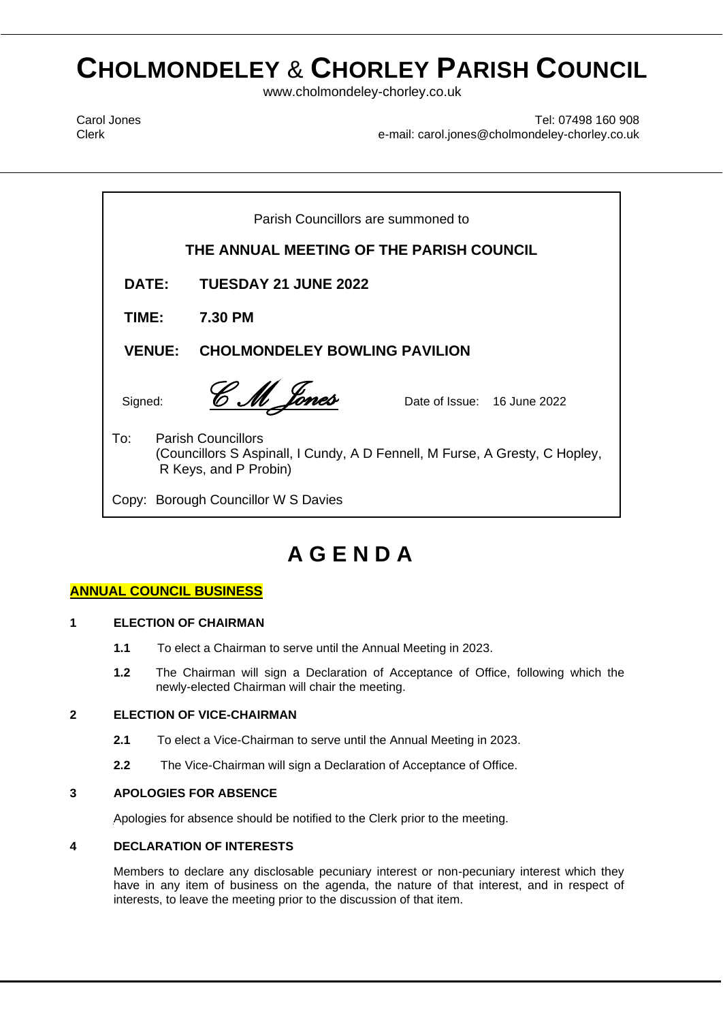# **CHOLMONDELEY** & **CHORLEY PARISH COUNCIL**

www.cholmondeley-chorley.co.uk

Carol Jones Clerk

Tel: 07498 160 908 e-mail: carol.jones@cholmondeley-chorley.co.uk

 $\mathbf{F}$  **Parish Council Council Council Council** Council Council Council Council Council Council Council Council Council Council Council Council Council Council Council Council Council Council Council Council Council Cou **DATE:** TUESDAY 21 JUNE 2022 Parish Councillors are summoned to **THE ANNUAL MEETING OF THE PARISH COUNCIL TIME: 7.30 PM VENUE: CHOLMONDELEY BOWLING PAVILION** Signed: *CM Jones* Date of Issue: 16 June 2022 To: Parish Councillors (Councillors S Aspinall, I Cundy, A D Fennell, M Furse, A Gresty, C Hopley, R Keys, and P Probin) Copy: Borough Councillor W S Davies

## **A G E N D A**

### **ANNUAL COUNCIL BUSINESS**

#### **1 ELECTION OF CHAIRMAN**

- **1.1** To elect a Chairman to serve until the Annual Meeting in 2023.
- **1.2** The Chairman will sign a Declaration of Acceptance of Office, following which the newly-elected Chairman will chair the meeting.

#### **2 ELECTION OF VICE-CHAIRMAN**

- **2.1** To elect a Vice-Chairman to serve until the Annual Meeting in 2023.
- **2.2** The Vice-Chairman will sign a Declaration of Acceptance of Office.

#### **3 APOLOGIES FOR ABSENCE**

Apologies for absence should be notified to the Clerk prior to the meeting.

#### **4 DECLARATION OF INTERESTS**

Members to declare any disclosable pecuniary interest or non-pecuniary interest which they have in any item of business on the agenda, the nature of that interest, and in respect of interests, to leave the meeting prior to the discussion of that item.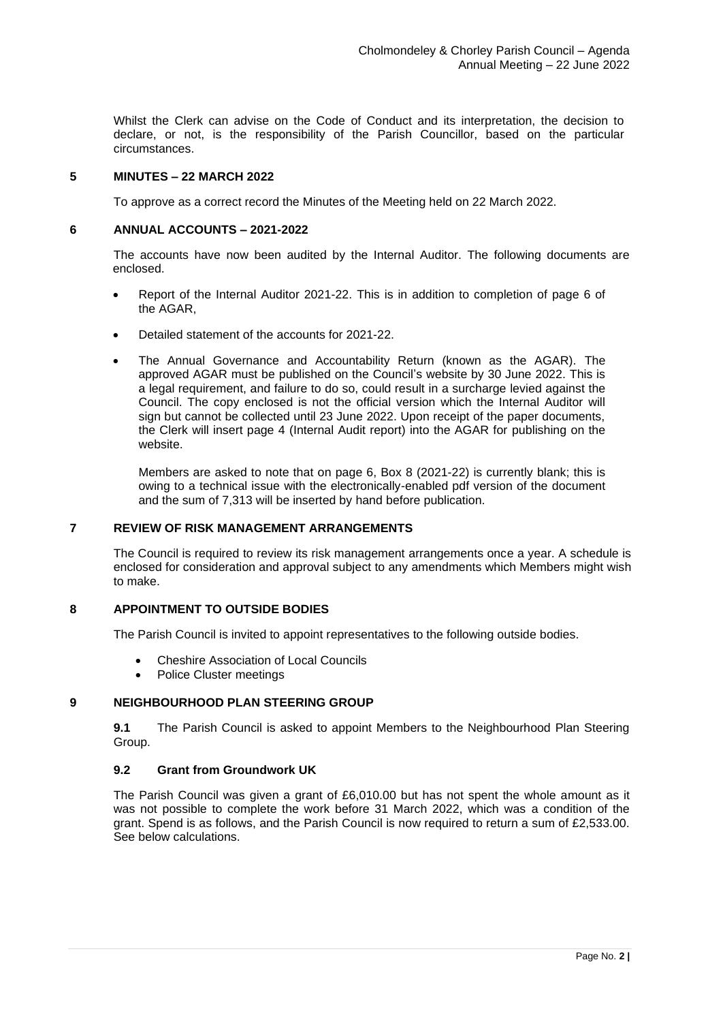Whilst the Clerk can advise on the Code of Conduct and its interpretation, the decision to declare, or not, is the responsibility of the Parish Councillor, based on the particular circumstances.

#### **5 MINUTES – 22 MARCH 2022**

To approve as a correct record the Minutes of the Meeting held on 22 March 2022.

#### **6 ANNUAL ACCOUNTS – 2021-2022**

The accounts have now been audited by the Internal Auditor. The following documents are enclosed.

- Report of the Internal Auditor 2021-22. This is in addition to completion of page 6 of the AGAR,
- Detailed statement of the accounts for 2021-22.
- The Annual Governance and Accountability Return (known as the AGAR). The approved AGAR must be published on the Council's website by 30 June 2022. This is a legal requirement, and failure to do so, could result in a surcharge levied against the Council. The copy enclosed is not the official version which the Internal Auditor will sign but cannot be collected until 23 June 2022. Upon receipt of the paper documents, the Clerk will insert page 4 (Internal Audit report) into the AGAR for publishing on the website.

Members are asked to note that on page 6, Box 8 (2021-22) is currently blank; this is owing to a technical issue with the electronically-enabled pdf version of the document and the sum of 7,313 will be inserted by hand before publication.

#### **7 REVIEW OF RISK MANAGEMENT ARRANGEMENTS**

The Council is required to review its risk management arrangements once a year. A schedule is enclosed for consideration and approval subject to any amendments which Members might wish to make.

#### **8 APPOINTMENT TO OUTSIDE BODIES**

The Parish Council is invited to appoint representatives to the following outside bodies.

- Cheshire Association of Local Councils
- Police Cluster meetings

#### **9 NEIGHBOURHOOD PLAN STEERING GROUP**

**9.1** The Parish Council is asked to appoint Members to the Neighbourhood Plan Steering Group.

#### **9.2 Grant from Groundwork UK**

The Parish Council was given a grant of £6,010.00 but has not spent the whole amount as it was not possible to complete the work before 31 March 2022, which was a condition of the grant. Spend is as follows, and the Parish Council is now required to return a sum of £2,533.00. See below calculations.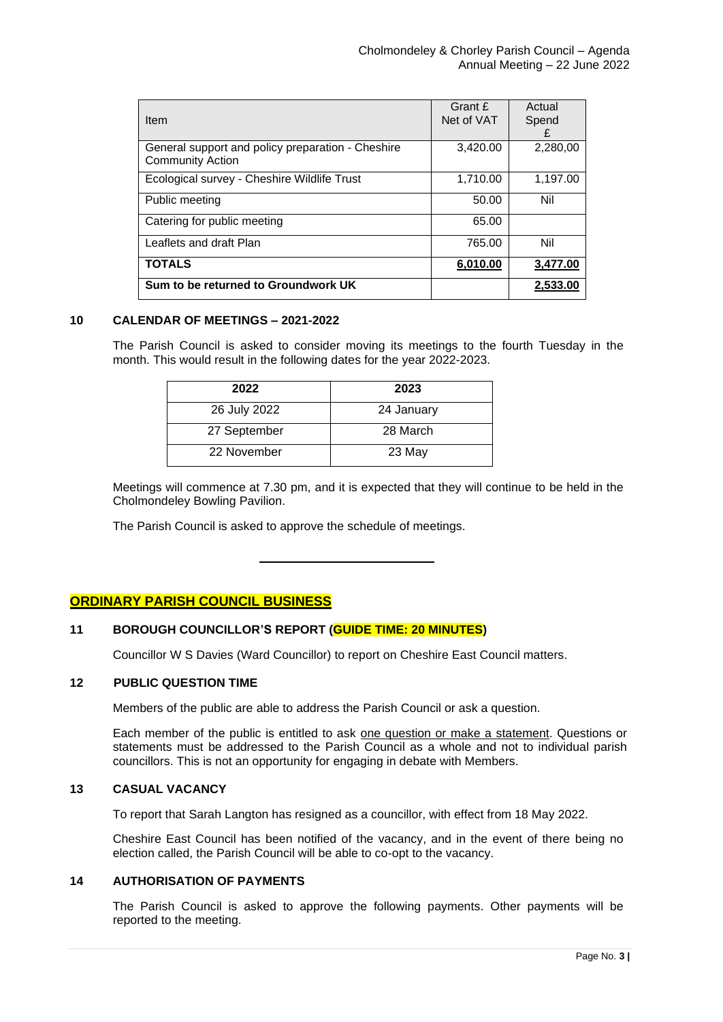| Item                                                                         | Grant £<br>Net of VAT | Actual<br>Spend<br>£ |
|------------------------------------------------------------------------------|-----------------------|----------------------|
| General support and policy preparation - Cheshire<br><b>Community Action</b> | 3,420.00              | 2,280,00             |
| Ecological survey - Cheshire Wildlife Trust                                  | 1,710.00              | 1,197.00             |
| Public meeting                                                               | 50.00                 | Nil                  |
| Catering for public meeting                                                  | 65.00                 |                      |
| Leaflets and draft Plan                                                      | 765.00                | Nil                  |
| <b>TOTALS</b>                                                                | 6,010.00              | 3.477.00             |
| Sum to be returned to Groundwork UK                                          |                       | 2,533.00             |

#### **10 CALENDAR OF MEETINGS – 2021-2022**

The Parish Council is asked to consider moving its meetings to the fourth Tuesday in the month. This would result in the following dates for the year 2022-2023.

| 2022         | 2023       |
|--------------|------------|
| 26 July 2022 | 24 January |
| 27 September | 28 March   |
| 22 November  | 23 May     |

Meetings will commence at 7.30 pm, and it is expected that they will continue to be held in the Cholmondeley Bowling Pavilion.

The Parish Council is asked to approve the schedule of meetings.

#### **ORDINARY PARISH COUNCIL BUSINESS**

#### **11 BOROUGH COUNCILLOR'S REPORT (GUIDE TIME: 20 MINUTES)**

Councillor W S Davies (Ward Councillor) to report on Cheshire East Council matters.

#### **12 PUBLIC QUESTION TIME**

Members of the public are able to address the Parish Council or ask a question.

Each member of the public is entitled to ask one question or make a statement. Questions or statements must be addressed to the Parish Council as a whole and not to individual parish councillors. This is not an opportunity for engaging in debate with Members.

#### **13 CASUAL VACANCY**

To report that Sarah Langton has resigned as a councillor, with effect from 18 May 2022.

Cheshire East Council has been notified of the vacancy, and in the event of there being no election called, the Parish Council will be able to co-opt to the vacancy.

#### **14 AUTHORISATION OF PAYMENTS**

The Parish Council is asked to approve the following payments. Other payments will be reported to the meeting.